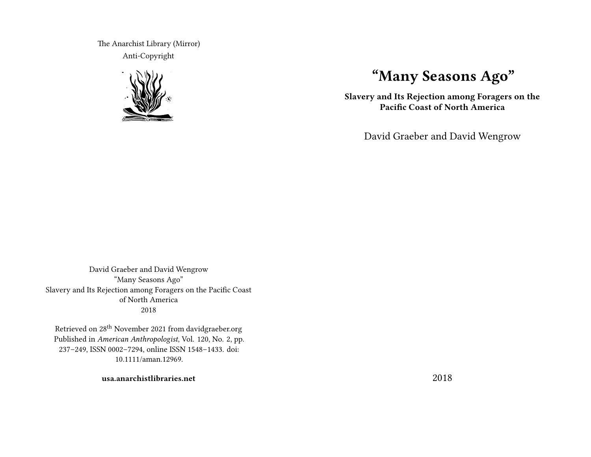The Anarchist Library (Mirror) Anti-Copyright



# **"Many Seasons Ago"**

**Slavery and Its Rejection among Foragers on the Pacific Coast of North America**

David Graeber and David Wengrow

David Graeber and David Wengrow "Many Seasons Ago" Slavery and Its Rejection among Foragers on the Pacific Coast of North America 2018

Retrieved on 28th November 2021 from davidgraeber.org Published in *American Anthropologist*, Vol. 120, No. 2, pp. 237–249, ISSN 0002–7294, online ISSN 1548–1433. doi: 10.1111/aman.12969.

**usa.anarchistlibraries.net**

2018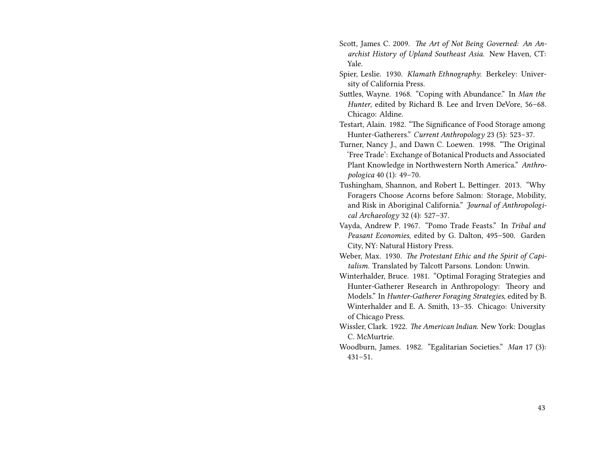- Scott, James C. 2009. *The Art of Not Being Governed: An Anarchist History of Upland Southeast Asia*. New Haven, CT: Yale.
- Spier, Leslie. 1930. *Klamath Ethnography*. Berkeley: University of California Press.
- Suttles, Wayne. 1968. "Coping with Abundance." In *Man the Hunter*, edited by Richard B. Lee and Irven DeVore, 56–68. Chicago: Aldine.
- Testart, Alain. 1982. "The Significance of Food Storage among Hunter-Gatherers." *Current Anthropology* 23 (5): 523–37.
- Turner, Nancy J., and Dawn C. Loewen. 1998. "The Original 'Free Trade': Exchange of Botanical Products and Associated Plant Knowledge in Northwestern North America." *Anthropologica* 40 (1): 49–70.
- Tushingham, Shannon, and Robert L. Bettinger. 2013. "Why Foragers Choose Acorns before Salmon: Storage, Mobility, and Risk in Aboriginal California." *Journal of Anthropological Archaeology* 32 (4): 527–37.
- Vayda, Andrew P. 1967. "Pomo Trade Feasts." In *Tribal and Peasant Economies*, edited by G. Dalton, 495–500. Garden City, NY: Natural History Press.
- Weber, Max. 1930. *The Protestant Ethic and the Spirit of Capitalism*. Translated by Talcott Parsons. London: Unwin.
- Winterhalder, Bruce. 1981. "Optimal Foraging Strategies and Hunter-Gatherer Research in Anthropology: Theory and Models." In *Hunter-Gatherer Foraging Strategies*, edited by B. Winterhalder and E. A. Smith, 13–35. Chicago: University of Chicago Press.
- Wissler, Clark. 1922. *The American Indian*. New York: Douglas C. McMurtrie.
- Woodburn, James. 1982. "Egalitarian Societies." *Man* 17 (3): 431–51.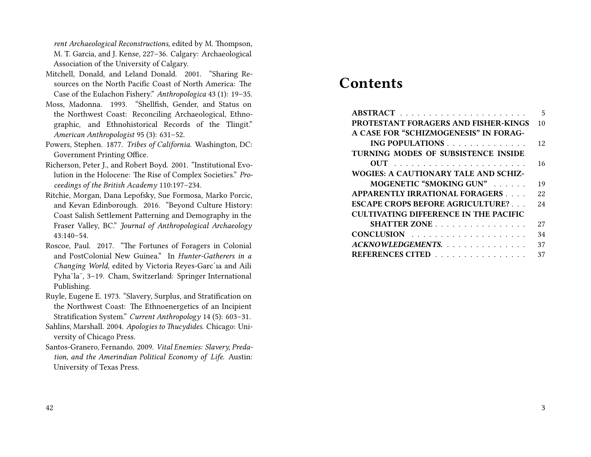*rent Archaeological Reconstructions*, edited by M. Thompson, M. T. Garcia, and J. Kense, 227–36. Calgary: Archaeological Association of the University of Calgary.

- Mitchell, Donald, and Leland Donald. 2001. "Sharing Resources on the North Pacific Coast of North America: The Case of the Eulachon Fishery." *Anthropologica* 43 (1): 19–35.
- Moss, Madonna. 1993. "Shellfish, Gender, and Status on the Northwest Coast: Reconciling Archaeological, Ethnographic, and Ethnohistorical Records of the Tlingit." *American Anthropologist* 95 (3): 631–52.
- Powers, Stephen. 1877. *Tribes of California*. Washington, DC: Government Printing Office.
- Richerson, Peter J., and Robert Boyd. 2001. "Institutional Evolution in the Holocene: The Rise of Complex Societies." *Proceedings of the British Academy* 110:197–234.
- Ritchie, Morgan, Dana Lepofsky, Sue Formosa, Marko Porcic, and Kevan Edinborough. 2016. "Beyond Culture History: Coast Salish Settlement Patterning and Demography in the Fraser Valley, BC." *Journal of Anthropological Archaeology* 43:140–54.
- Roscoe, Paul. 2017. "The Fortunes of Foragers in Colonial and PostColonial New Guinea." In *Hunter-Gatherers in a Changing World*, edited by Victoria Reyes-Garc´ıa and Aili Pyha¨la¨, 3–19. Cham, Switzerland: Springer International Publishing.
- Ruyle, Eugene E. 1973. "Slavery, Surplus, and Stratification on the Northwest Coast: The Ethnoenergetics of an Incipient Stratification System." *Current Anthropology* 14 (5): 603–31.
- Sahlins, Marshall. 2004. *Apologies to Thucydides*. Chicago: University of Chicago Press.
- Santos-Granero, Fernando. 2009. *Vital Enemies: Slavery, Predation, and the Amerindian Political Economy of Life*. Austin: University of Texas Press.

## **Contents**

|                                             | 5  |
|---------------------------------------------|----|
| <b>PROTESTANT FORAGERS AND FISHER-KINGS</b> | 10 |
| A CASE FOR "SCHIZMOGENESIS" IN FORAG-       |    |
| ING POPULATIONS $\ldots$                    | 12 |
| <b>TURNING MODES OF SUBSISTENCE INSIDE</b>  |    |
| <b>OUT</b>                                  | 16 |
| WOGIES: A CAUTIONARY TALE AND SCHIZ-        |    |
| MOGENETIC "SMOKING GUN"                     | 19 |
| APPARENTLY IRRATIONAL FORAGERS              | 22 |
| <b>ESCAPE CROPS BEFORE AGRICULTURE?</b>     | 24 |
| CULTIVATING DIFFERENCE IN THE PACIFIC       |    |
| <b>SHATTER ZONE</b>                         | 27 |
|                                             | 34 |
| ACKNOWLEDGEMENTS.                           | 37 |
| REFERENCES CITED                            | 37 |
|                                             |    |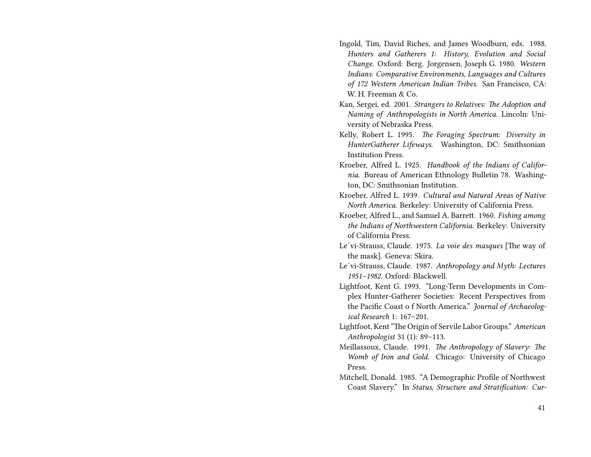- Ingold, Tim, David Riches, and James Woodburn, eds. 1988. *Hunters and Gatherers 1: History, Evolution and Social Change*. Oxford: Berg. Jorgensen, Joseph G. 1980. *Western Indians: Comparative Environments, Languages and Cultures of 172 Western American Indian Tribes*. San Francisco, CA: W. H. Freeman & Co.
- Kan, Sergei, ed. 2001. *Strangers to Relatives: The Adoption and Naming of Anthropologists in North America*. Lincoln: University of Nebraska Press.
- Kelly, Robert L. 1995. *The Foraging Spectrum: Diversity in HunterGatherer Lifeways*. Washington, DC: Smithsonian Institution Press.
- Kroeber, Alfred L. 1925. *Handbook of the Indians of California*. Bureau of American Ethnology Bulletin 78. Washington, DC: Smithsonian Institution.
- Kroeber, Alfred L. 1939. *Cultural and Natural Areas of Native North America*. Berkeley: University of California Press.
- Kroeber, Alfred L., and Samuel A. Barrett. 1960. *Fishing among the Indians of Northwestern California*. Berkeley: University of California Press.
- Le´vi-Strauss, Claude. 1975. *La voie des masques* [The way of the mask]. Geneva: Skira.
- Le´vi-Strauss, Claude. 1987. *Anthropology and Myth: Lectures 1951–1982*. Oxford: Blackwell.
- Lightfoot, Kent G. 1993. "Long-Term Developments in Complex Hunter-Gatherer Societies: Recent Perspectives from the Pacific Coast o f North America." *Journal of Archaeological Research* 1: 167–201.
- Lightfoot, Kent "The Origin of Servile Labor Groups." *American Anthropologist* 31 (1): 89–113.
- Meillassoux, Claude. 1991. *The Anthropology of Slavery: The Womb of Iron and Gold*. Chicago: University of Chicago Press.
- Mitchell, Donald. 1985. "A Demographic Profile of Northwest Coast Slavery." In *Status, Structure and Stratification: Cur-*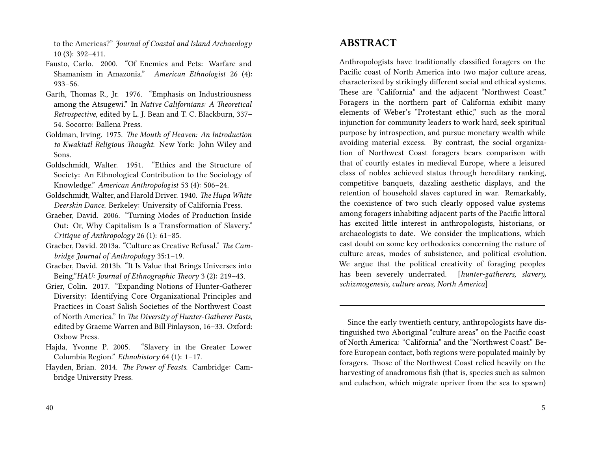to the Americas?" *Journal of Coastal and Island Archaeology* 10 (3): 392–411.

- Fausto, Carlo. 2000. "Of Enemies and Pets: Warfare and Shamanism in Amazonia." *American Ethnologist* 26 (4): 933–56.
- Garth, Thomas R., Jr. 1976. "Emphasis on Industriousness among the Atsugewi." In *Native Californians: A Theoretical Retrospective*, edited by L. J. Bean and T. C. Blackburn, 337– 54. Socorro: Ballena Press.
- Goldman, Irving. 1975. *The Mouth of Heaven: An Introduction to Kwakiutl Religious Thought*. New York: John Wiley and Sons.
- Goldschmidt, Walter. 1951. "Ethics and the Structure of Society: An Ethnological Contribution to the Sociology of Knowledge." *American Anthropologist* 53 (4): 506–24.
- Goldschmidt, Walter, and Harold Driver. 1940. *The Hupa White Deerskin Dance*. Berkeley: University of California Press.
- Graeber, David. 2006. "Turning Modes of Production Inside Out: Or, Why Capitalism Is a Transformation of Slavery." *Critique of Anthropology* 26 (1): 61–85.
- Graeber, David. 2013a. "Culture as Creative Refusal." *The Cambridge Journal of Anthropology* 35:1–19.
- Graeber, David. 2013b. "It Is Value that Brings Universes into Being."*HAU: Journal of Ethnographic Theory* 3 (2): 219–43.
- Grier, Colin. 2017. "Expanding Notions of Hunter-Gatherer Diversity: Identifying Core Organizational Principles and Practices in Coast Salish Societies of the Northwest Coast of North America." In *The Diversity of Hunter-Gatherer Pasts*, edited by Graeme Warren and Bill Finlayson, 16–33. Oxford: Oxbow Press.
- Hajda, Yvonne P. 2005. "Slavery in the Greater Lower Columbia Region." *Ethnohistory* 64 (1): 1–17.
- Hayden, Brian. 2014. *The Power of Feasts*. Cambridge: Cambridge University Press.

#### **ABSTRACT**

Anthropologists have traditionally classified foragers on the Pacific coast of North America into two major culture areas, characterized by strikingly different social and ethical systems. These are "California" and the adjacent "Northwest Coast." Foragers in the northern part of California exhibit many elements of Weber's "Protestant ethic," such as the moral injunction for community leaders to work hard, seek spiritual purpose by introspection, and pursue monetary wealth while avoiding material excess. By contrast, the social organization of Northwest Coast foragers bears comparison with that of courtly estates in medieval Europe, where a leisured class of nobles achieved status through hereditary ranking, competitive banquets, dazzling aesthetic displays, and the retention of household slaves captured in war. Remarkably, the coexistence of two such clearly opposed value systems among foragers inhabiting adjacent parts of the Pacific littoral has excited little interest in anthropologists, historians, or archaeologists to date. We consider the implications, which cast doubt on some key orthodoxies concerning the nature of culture areas, modes of subsistence, and political evolution. We argue that the political creativity of foraging peoples has been severely underrated. [*hunter-gatherers, slavery, schizmogenesis, culture areas, North America*]

Since the early twentieth century, anthropologists have distinguished two Aboriginal "culture areas" on the Pacific coast of North America: "California" and the "Northwest Coast." Before European contact, both regions were populated mainly by foragers. Those of the Northwest Coast relied heavily on the harvesting of anadromous fish (that is, species such as salmon and eulachon, which migrate upriver from the sea to spawn)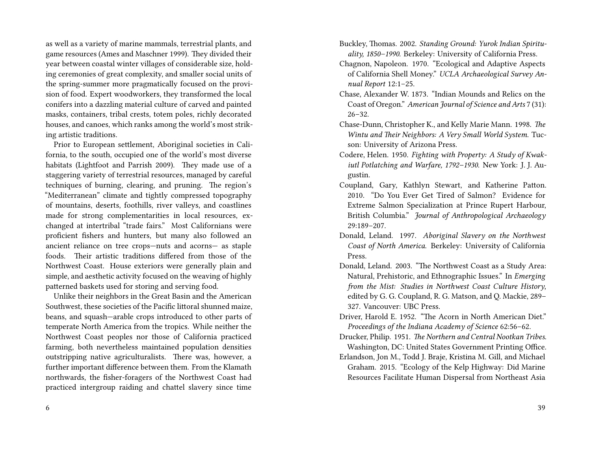as well as a variety of marine mammals, terrestrial plants, and game resources (Ames and Maschner 1999). They divided their year between coastal winter villages of considerable size, holding ceremonies of great complexity, and smaller social units of the spring-summer more pragmatically focused on the provision of food. Expert woodworkers, they transformed the local conifers into a dazzling material culture of carved and painted masks, containers, tribal crests, totem poles, richly decorated houses, and canoes, which ranks among the world's most striking artistic traditions.

Prior to European settlement, Aboriginal societies in California, to the south, occupied one of the world's most diverse habitats (Lightfoot and Parrish 2009). They made use of a staggering variety of terrestrial resources, managed by careful techniques of burning, clearing, and pruning. The region's "Mediterranean" climate and tightly compressed topography of mountains, deserts, foothills, river valleys, and coastlines made for strong complementarities in local resources, exchanged at intertribal "trade fairs." Most Californians were proficient fishers and hunters, but many also followed an ancient reliance on tree crops—nuts and acorns— as staple foods. Their artistic traditions differed from those of the Northwest Coast. House exteriors were generally plain and simple, and aesthetic activity focused on the weaving of highly patterned baskets used for storing and serving food.

Unlike their neighbors in the Great Basin and the American Southwest, these societies of the Pacific littoral shunned maize, beans, and squash—arable crops introduced to other parts of temperate North America from the tropics. While neither the Northwest Coast peoples nor those of California practiced farming, both nevertheless maintained population densities outstripping native agriculturalists. There was, however, a further important difference between them. From the Klamath northwards, the fisher-foragers of the Northwest Coast had practiced intergroup raiding and chattel slavery since time

- Buckley, Thomas. 2002. *Standing Ground: Yurok Indian Spirituality, 1850–1990*. Berkeley: University of California Press.
- Chagnon, Napoleon. 1970. "Ecological and Adaptive Aspects of California Shell Money." *UCLA Archaeological Survey Annual Report* 12:1–25.
- Chase, Alexander W. 1873. "Indian Mounds and Relics on the Coast of Oregon." *American Journal of Science and Arts* 7 (31): 26–32.
- Chase-Dunn, Christopher K., and Kelly Marie Mann. 1998. *The Wintu and Their Neighbors: A Very Small World System*. Tucson: University of Arizona Press.
- Codere, Helen. 1950. *Fighting with Property: A Study of Kwakiutl Potlatching and Warfare, 1792–1930*. New York: J. J. Augustin.
- Coupland, Gary, Kathlyn Stewart, and Katherine Patton. 2010. "Do You Ever Get Tired of Salmon? Evidence for Extreme Salmon Specialization at Prince Rupert Harbour, British Columbia." *Journal of Anthropological Archaeology* 29:189–207.
- Donald, Leland. 1997. *Aboriginal Slavery on the Northwest Coast of North America*. Berkeley: University of California Press.
- Donald, Leland. 2003. "The Northwest Coast as a Study Area: Natural, Prehistoric, and Ethnographic Issues." In *Emerging from the Mist: Studies in Northwest Coast Culture History*, edited by G. G. Coupland, R. G. Matson, and Q. Mackie, 289– 327. Vancouver: UBC Press.
- Driver, Harold E. 1952. "The Acorn in North American Diet." *Proceedings of the Indiana Academy of Science* 62:56–62.
- Drucker, Philip. 1951. *The Northern and Central Nootkan Tribes*. Washington, DC: United States Government Printing Office.
- Erlandson, Jon M., Todd J. Braje, Kristina M. Gill, and Michael Graham. 2015. "Ecology of the Kelp Highway: Did Marine Resources Facilitate Human Dispersal from Northeast Asia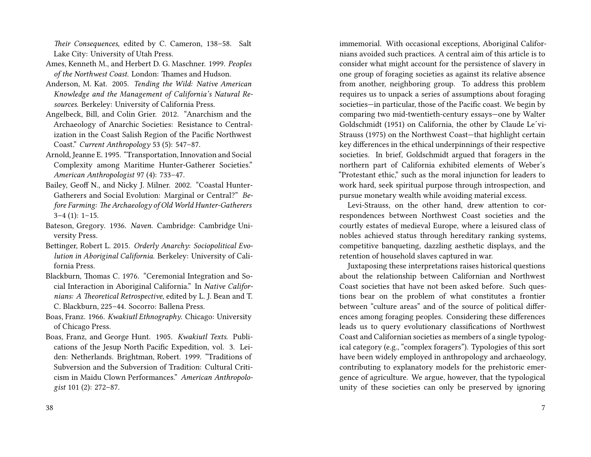*Their Consequences*, edited by C. Cameron, 138–58. Salt Lake City: University of Utah Press.

- Ames, Kenneth M., and Herbert D. G. Maschner. 1999. *Peoples of the Northwest Coast*. London: Thames and Hudson.
- Anderson, M. Kat. 2005. *Tending the Wild: Native American Knowledge and the Management of California's Natural Resources*. Berkeley: University of California Press.
- Angelbeck, Bill, and Colin Grier. 2012. "Anarchism and the Archaeology of Anarchic Societies: Resistance to Centralization in the Coast Salish Region of the Pacific Northwest Coast." *Current Anthropology* 53 (5): 547–87.
- Arnold, Jeanne E. 1995. "Transportation, Innovation and Social Complexity among Maritime Hunter-Gatherer Societies." *American Anthropologist* 97 (4): 733–47.
- Bailey, Geoff N., and Nicky J. Milner. 2002. "Coastal Hunter-Gatherers and Social Evolution: Marginal or Central?" *Before Farming: The Archaeology of Old World Hunter-Gatherers*  $3-4$  (1):  $1-15$ .
- Bateson, Gregory. 1936. *Naven*. Cambridge: Cambridge University Press.
- Bettinger, Robert L. 2015. *Orderly Anarchy: Sociopolitical Evolution in Aboriginal California*. Berkeley: University of California Press.
- Blackburn, Thomas C. 1976. "Ceremonial Integration and Social Interaction in Aboriginal California." In *Native Californians: A Theoretical Retrospective*, edited by L. J. Bean and T. C. Blackburn, 225–44. Socorro: Ballena Press.
- Boas, Franz. 1966. *Kwakiutl Ethnography*. Chicago: University of Chicago Press.
- Boas, Franz, and George Hunt. 1905. *Kwakiutl Texts*. Publications of the Jesup North Pacific Expedition, vol. 3. Leiden: Netherlands. Brightman, Robert. 1999. "Traditions of Subversion and the Subversion of Tradition: Cultural Criticism in Maidu Clown Performances." *American Anthropologist* 101 (2): 272–87.

immemorial. With occasional exceptions, Aboriginal Californians avoided such practices. A central aim of this article is to consider what might account for the persistence of slavery in one group of foraging societies as against its relative absence from another, neighboring group. To address this problem requires us to unpack a series of assumptions about foraging societies—in particular, those of the Pacific coast. We begin by comparing two mid-twentieth-century essays—one by Walter Goldschmidt (1951) on California, the other by Claude Le´vi-Strauss (1975) on the Northwest Coast—that highlight certain key differences in the ethical underpinnings of their respective societies. In brief, Goldschmidt argued that foragers in the northern part of California exhibited elements of Weber's "Protestant ethic," such as the moral injunction for leaders to work hard, seek spiritual purpose through introspection, and pursue monetary wealth while avoiding material excess.

Levi-Strauss, on the other hand, drew attention to correspondences between Northwest Coast societies and the courtly estates of medieval Europe, where a leisured class of nobles achieved status through hereditary ranking systems, competitive banqueting, dazzling aesthetic displays, and the retention of household slaves captured in war.

Juxtaposing these interpretations raises historical questions about the relationship between Californian and Northwest Coast societies that have not been asked before. Such questions bear on the problem of what constitutes a frontier between "culture areas" and of the source of political differences among foraging peoples. Considering these differences leads us to query evolutionary classifications of Northwest Coast and Californian societies as members of a single typological category (e.g., "complex foragers"). Typologies of this sort have been widely employed in anthropology and archaeology, contributing to explanatory models for the prehistoric emergence of agriculture. We argue, however, that the typological unity of these societies can only be preserved by ignoring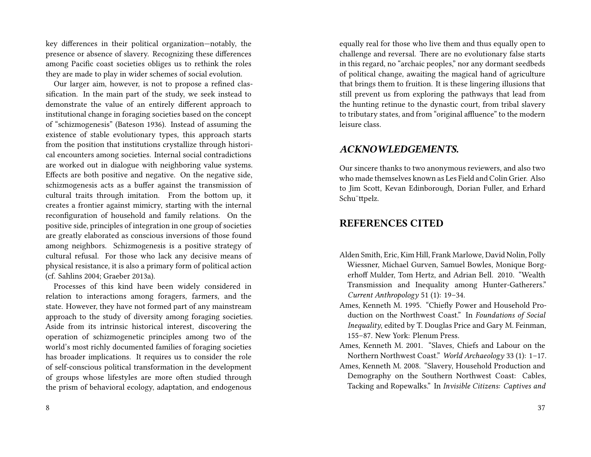key differences in their political organization—notably, the presence or absence of slavery. Recognizing these differences among Pacific coast societies obliges us to rethink the roles they are made to play in wider schemes of social evolution.

Our larger aim, however, is not to propose a refined classification. In the main part of the study, we seek instead to demonstrate the value of an entirely different approach to institutional change in foraging societies based on the concept of "schizmogenesis" (Bateson 1936). Instead of assuming the existence of stable evolutionary types, this approach starts from the position that institutions crystallize through historical encounters among societies. Internal social contradictions are worked out in dialogue with neighboring value systems. Effects are both positive and negative. On the negative side, schizmogenesis acts as a buffer against the transmission of cultural traits through imitation. From the bottom up, it creates a frontier against mimicry, starting with the internal reconfiguration of household and family relations. On the positive side, principles of integration in one group of societies are greatly elaborated as conscious inversions of those found among neighbors. Schizmogenesis is a positive strategy of cultural refusal. For those who lack any decisive means of physical resistance, it is also a primary form of political action (cf. Sahlins 2004; Graeber 2013a).

Processes of this kind have been widely considered in relation to interactions among foragers, farmers, and the state. However, they have not formed part of any mainstream approach to the study of diversity among foraging societies. Aside from its intrinsic historical interest, discovering the operation of schizmogenetic principles among two of the world's most richly documented families of foraging societies has broader implications. It requires us to consider the role of self-conscious political transformation in the development of groups whose lifestyles are more often studied through the prism of behavioral ecology, adaptation, and endogenous

equally real for those who live them and thus equally open to challenge and reversal. There are no evolutionary false starts in this regard, no "archaic peoples," nor any dormant seedbeds of political change, awaiting the magical hand of agriculture that brings them to fruition. It is these lingering illusions that still prevent us from exploring the pathways that lead from the hunting retinue to the dynastic court, from tribal slavery to tributary states, and from "original affluence" to the modern leisure class.

#### *ACKNOWLEDGEMENTS.*

Our sincere thanks to two anonymous reviewers, and also two who made themselves known as Les Field and Colin Grier. Also to Jim Scott, Kevan Edinborough, Dorian Fuller, and Erhard Schu¨ttpelz.

#### **REFERENCES CITED**

- Alden Smith, Eric, Kim Hill, Frank Marlowe, David Nolin, Polly Wiessner, Michael Gurven, Samuel Bowles, Monique Borgerhoff Mulder, Tom Hertz, and Adrian Bell. 2010. "Wealth Transmission and Inequality among Hunter-Gatherers." *Current Anthropology* 51 (1): 19–34.
- Ames, Kenneth M. 1995. "Chiefly Power and Household Production on the Northwest Coast." In *Foundations of Social Inequality*, edited by T. Douglas Price and Gary M. Feinman, 155–87. New York: Plenum Press.
- Ames, Kenneth M. 2001. "Slaves, Chiefs and Labour on the Northern Northwest Coast." *World Archaeology* 33 (1): 1–17.
- Ames, Kenneth M. 2008. "Slavery, Household Production and Demography on the Southern Northwest Coast: Cables, Tacking and Ropewalks." In *Invisible Citizens: Captives and*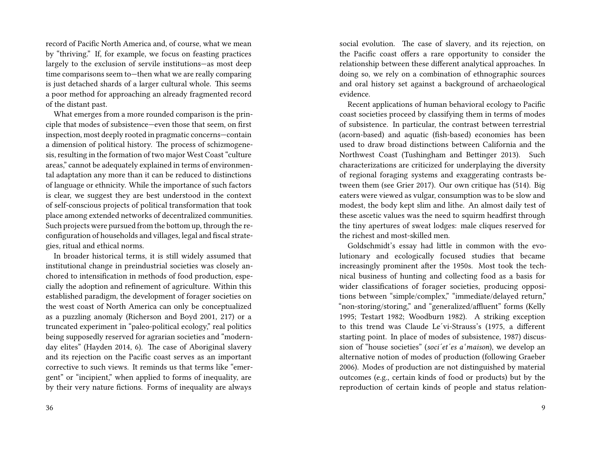record of Pacific North America and, of course, what we mean by "thriving." If, for example, we focus on feasting practices largely to the exclusion of servile institutions—as most deep time comparisons seem to—then what we are really comparing is just detached shards of a larger cultural whole. This seems a poor method for approaching an already fragmented record of the distant past.

What emerges from a more rounded comparison is the principle that modes of subsistence—even those that seem, on first inspection, most deeply rooted in pragmatic concerns—contain a dimension of political history. The process of schizmogenesis, resulting in the formation of two major West Coast "culture areas," cannot be adequately explained in terms of environmental adaptation any more than it can be reduced to distinctions of language or ethnicity. While the importance of such factors is clear, we suggest they are best understood in the context of self-conscious projects of political transformation that took place among extended networks of decentralized communities. Such projects were pursued from the bottom up, through the reconfiguration of households and villages, legal and fiscal strategies, ritual and ethical norms.

In broader historical terms, it is still widely assumed that institutional change in preindustrial societies was closely anchored to intensification in methods of food production, especially the adoption and refinement of agriculture. Within this established paradigm, the development of forager societies on the west coast of North America can only be conceptualized as a puzzling anomaly (Richerson and Boyd 2001, 217) or a truncated experiment in "paleo-political ecology," real politics being supposedly reserved for agrarian societies and "modernday elites" (Hayden 2014, 6). The case of Aboriginal slavery and its rejection on the Pacific coast serves as an important corrective to such views. It reminds us that terms like "emergent" or "incipient," when applied to forms of inequality, are by their very nature fictions. Forms of inequality are always

social evolution. The case of slavery, and its rejection, on the Pacific coast offers a rare opportunity to consider the relationship between these different analytical approaches. In doing so, we rely on a combination of ethnographic sources and oral history set against a background of archaeological evidence.

Recent applications of human behavioral ecology to Pacific coast societies proceed by classifying them in terms of modes of subsistence. In particular, the contrast between terrestrial (acorn-based) and aquatic (fish-based) economies has been used to draw broad distinctions between California and the Northwest Coast (Tushingham and Bettinger 2013). Such characterizations are criticized for underplaying the diversity of regional foraging systems and exaggerating contrasts between them (see Grier 2017). Our own critique has (514). Big eaters were viewed as vulgar, consumption was to be slow and modest, the body kept slim and lithe. An almost daily test of these ascetic values was the need to squirm headfirst through the tiny apertures of sweat lodges: male cliques reserved for the richest and most-skilled men.

Goldschmidt's essay had little in common with the evolutionary and ecologically focused studies that became increasingly prominent after the 1950s. Most took the technical business of hunting and collecting food as a basis for wider classifications of forager societies, producing oppositions between "simple/complex," "immediate/delayed return," "non-storing/storing," and "generalized/affluent" forms (Kelly 1995; Testart 1982; Woodburn 1982). A striking exception to this trend was Claude Le´vi-Strauss's (1975, a different starting point. In place of modes of subsistence, 1987) discussion of "house societies" (*soci´et´es a'maison*), we develop an alternative notion of modes of production (following Graeber 2006). Modes of production are not distinguished by material outcomes (e.g., certain kinds of food or products) but by the reproduction of certain kinds of people and status relation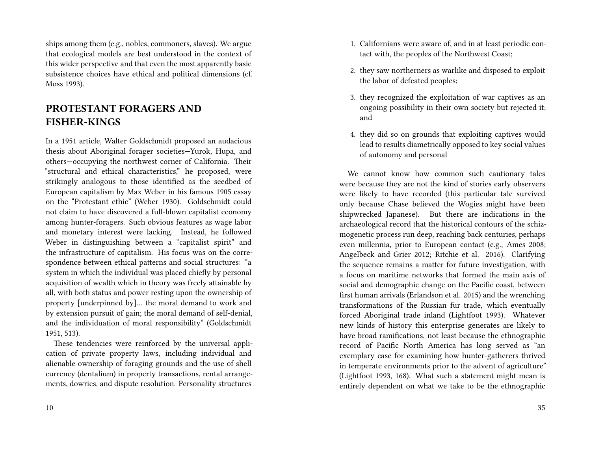ships among them (e.g., nobles, commoners, slaves). We argue that ecological models are best understood in the context of this wider perspective and that even the most apparently basic subsistence choices have ethical and political dimensions (cf. Moss 1993).

### **PROTESTANT FORAGERS AND FISHER-KINGS**

In a 1951 article, Walter Goldschmidt proposed an audacious thesis about Aboriginal forager societies—Yurok, Hupa, and others—occupying the northwest corner of California. Their "structural and ethical characteristics," he proposed, were strikingly analogous to those identified as the seedbed of European capitalism by Max Weber in his famous 1905 essay on the "Protestant ethic" (Weber 1930). Goldschmidt could not claim to have discovered a full-blown capitalist economy among hunter-foragers. Such obvious features as wage labor and monetary interest were lacking. Instead, he followed Weber in distinguishing between a "capitalist spirit" and the infrastructure of capitalism. His focus was on the correspondence between ethical patterns and social structures: "a system in which the individual was placed chiefly by personal acquisition of wealth which in theory was freely attainable by all, with both status and power resting upon the ownership of property [underpinned by]… the moral demand to work and by extension pursuit of gain; the moral demand of self-denial, and the individuation of moral responsibility" (Goldschmidt 1951, 513).

These tendencies were reinforced by the universal application of private property laws, including individual and alienable ownership of foraging grounds and the use of shell currency (dentalium) in property transactions, rental arrangements, dowries, and dispute resolution. Personality structures

- 1. Californians were aware of, and in at least periodic contact with, the peoples of the Northwest Coast;
- 2. they saw northerners as warlike and disposed to exploit the labor of defeated peoples;
- 3. they recognized the exploitation of war captives as an ongoing possibility in their own society but rejected it; and
- 4. they did so on grounds that exploiting captives would lead to results diametrically opposed to key social values of autonomy and personal

We cannot know how common such cautionary tales were because they are not the kind of stories early observers were likely to have recorded (this particular tale survived only because Chase believed the Wogies might have been shipwrecked Japanese). But there are indications in the archaeological record that the historical contours of the schizmogenetic process run deep, reaching back centuries, perhaps even millennia, prior to European contact (e.g., Ames 2008; Angelbeck and Grier 2012; Ritchie et al. 2016). Clarifying the sequence remains a matter for future investigation, with a focus on maritime networks that formed the main axis of social and demographic change on the Pacific coast, between first human arrivals (Erlandson et al. 2015) and the wrenching transformations of the Russian fur trade, which eventually forced Aboriginal trade inland (Lightfoot 1993). Whatever new kinds of history this enterprise generates are likely to have broad ramifications, not least because the ethnographic record of Pacific North America has long served as "an exemplary case for examining how hunter-gatherers thrived in temperate environments prior to the advent of agriculture" (Lightfoot 1993, 168). What such a statement might mean is entirely dependent on what we take to be the ethnographic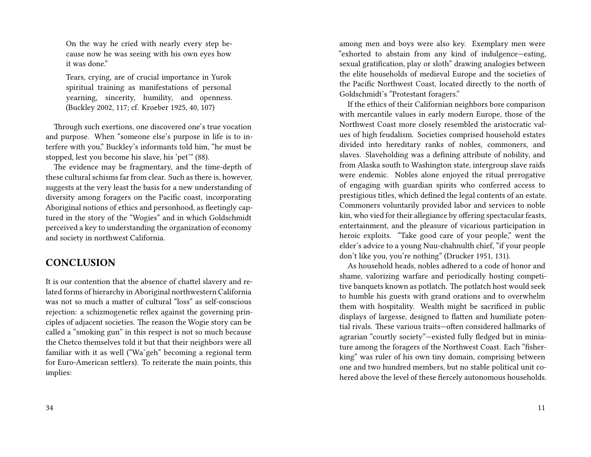On the way he cried with nearly every step because now he was seeing with his own eyes how it was done."

Tears, crying, are of crucial importance in Yurok spiritual training as manifestations of personal yearning, sincerity, humility, and openness. (Buckley 2002, 117; cf. Kroeber 1925, 40, 107)

Through such exertions, one discovered one's true vocation and purpose. When "someone else's purpose in life is to interfere with you," Buckley's informants told him, "he must be stopped, lest you become his slave, his 'pet'" (88).

The evidence may be fragmentary, and the time-depth of these cultural schisms far from clear. Such as there is, however, suggests at the very least the basis for a new understanding of diversity among foragers on the Pacific coast, incorporating Aboriginal notions of ethics and personhood, as fleetingly captured in the story of the "Wogies" and in which Goldschmidt perceived a key to understanding the organization of economy and society in northwest California.

#### **CONCLUSION**

It is our contention that the absence of chattel slavery and related forms of hierarchy in Aboriginal northwestern California was not so much a matter of cultural "loss" as self-conscious rejection: a schizmogenetic reflex against the governing principles of adjacent societies. The reason the Wogie story can be called a "smoking gun" in this respect is not so much because the Chetco themselves told it but that their neighbors were all familiar with it as well ("Waˆgeh" becoming a regional term for Euro-American settlers). To reiterate the main points, this implies:

among men and boys were also key. Exemplary men were "exhorted to abstain from any kind of indulgence—eating, sexual gratification, play or sloth" drawing analogies between the elite households of medieval Europe and the societies of the Pacific Northwest Coast, located directly to the north of Goldschmidt's "Protestant foragers."

If the ethics of their Californian neighbors bore comparison with mercantile values in early modern Europe, those of the Northwest Coast more closely resembled the aristocratic values of high feudalism. Societies comprised household estates divided into hereditary ranks of nobles, commoners, and slaves. Slaveholding was a defining attribute of nobility, and from Alaska south to Washington state, intergroup slave raids were endemic. Nobles alone enjoyed the ritual prerogative of engaging with guardian spirits who conferred access to prestigious titles, which defined the legal contents of an estate. Commoners voluntarily provided labor and services to noble kin, who vied for their allegiance by offering spectacular feasts, entertainment, and the pleasure of vicarious participation in heroic exploits. "Take good care of your people," went the elder's advice to a young Nuu-chahnulth chief, "if your people don't like you, you're nothing" (Drucker 1951, 131).

As household heads, nobles adhered to a code of honor and shame, valorizing warfare and periodically hosting competitive banquets known as potlatch. The potlatch host would seek to humble his guests with grand orations and to overwhelm them with hospitality. Wealth might be sacrificed in public displays of largesse, designed to flatten and humiliate potential rivals. These various traits—often considered hallmarks of agrarian "courtly society"—existed fully fledged but in miniature among the foragers of the Northwest Coast. Each "fisherking" was ruler of his own tiny domain, comprising between one and two hundred members, but no stable political unit cohered above the level of these fiercely autonomous households.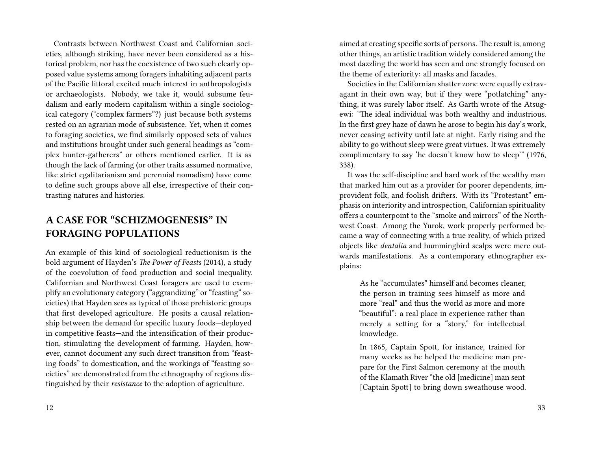Contrasts between Northwest Coast and Californian societies, although striking, have never been considered as a historical problem, nor has the coexistence of two such clearly opposed value systems among foragers inhabiting adjacent parts of the Pacific littoral excited much interest in anthropologists or archaeologists. Nobody, we take it, would subsume feudalism and early modern capitalism within a single sociological category ("complex farmers"?) just because both systems rested on an agrarian mode of subsistence. Yet, when it comes to foraging societies, we find similarly opposed sets of values and institutions brought under such general headings as "complex hunter-gatherers" or others mentioned earlier. It is as though the lack of farming (or other traits assumed normative, like strict egalitarianism and perennial nomadism) have come to define such groups above all else, irrespective of their contrasting natures and histories.

### **A CASE FOR "SCHIZMOGENESIS" IN FORAGING POPULATIONS**

An example of this kind of sociological reductionism is the bold argument of Hayden's *The Power of Feasts* (2014), a study of the coevolution of food production and social inequality. Californian and Northwest Coast foragers are used to exemplify an evolutionary category ("aggrandizing" or "feasting" societies) that Hayden sees as typical of those prehistoric groups that first developed agriculture. He posits a causal relationship between the demand for specific luxury foods—deployed in competitive feasts—and the intensification of their production, stimulating the development of farming. Hayden, however, cannot document any such direct transition from "feasting foods" to domestication, and the workings of "feasting societies" are demonstrated from the ethnography of regions distinguished by their *resistance* to the adoption of agriculture.

aimed at creating specific sorts of persons. The result is, among other things, an artistic tradition widely considered among the most dazzling the world has seen and one strongly focused on the theme of exteriority: all masks and facades.

Societies in the Californian shatter zone were equally extravagant in their own way, but if they were "potlatching" anything, it was surely labor itself. As Garth wrote of the Atsugewi: "The ideal individual was both wealthy and industrious. In the first grey haze of dawn he arose to begin his day's work, never ceasing activity until late at night. Early rising and the ability to go without sleep were great virtues. It was extremely complimentary to say 'he doesn't know how to sleep'" (1976, 338).

It was the self-discipline and hard work of the wealthy man that marked him out as a provider for poorer dependents, improvident folk, and foolish drifters. With its "Protestant" emphasis on interiority and introspection, Californian spirituality offers a counterpoint to the "smoke and mirrors" of the Northwest Coast. Among the Yurok, work properly performed became a way of connecting with a true reality, of which prized objects like *dentalia* and hummingbird scalps were mere outwards manifestations. As a contemporary ethnographer explains:

As he "accumulates" himself and becomes cleaner, the person in training sees himself as more and more "real" and thus the world as more and more "beautiful": a real place in experience rather than merely a setting for a "story," for intellectual knowledge.

In 1865, Captain Spott, for instance, trained for many weeks as he helped the medicine man prepare for the First Salmon ceremony at the mouth of the Klamath River "the old [medicine] man sent [Captain Spott] to bring down sweathouse wood.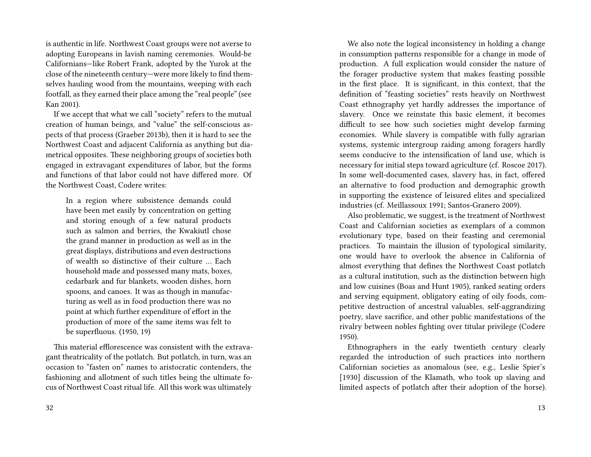is authentic in life. Northwest Coast groups were not averse to adopting Europeans in lavish naming ceremonies. Would-be Californians—like Robert Frank, adopted by the Yurok at the close of the nineteenth century—were more likely to find themselves hauling wood from the mountains, weeping with each footfall, as they earned their place among the "real people" (see Kan 2001).

If we accept that what we call "society" refers to the mutual creation of human beings, and "value" the self-conscious aspects of that process (Graeber 2013b), then it is hard to see the Northwest Coast and adjacent California as anything but diametrical opposites. These neighboring groups of societies both engaged in extravagant expenditures of labor, but the forms and functions of that labor could not have differed more. Of the Northwest Coast, Codere writes:

In a region where subsistence demands could have been met easily by concentration on getting and storing enough of a few natural products such as salmon and berries, the Kwakiutl chose the grand manner in production as well as in the great displays, distributions and even destructions of wealth so distinctive of their culture … Each household made and possessed many mats, boxes, cedarbark and fur blankets, wooden dishes, horn spoons, and canoes. It was as though in manufacturing as well as in food production there was no point at which further expenditure of effort in the production of more of the same items was felt to be superfluous. (1950, 19)

This material efflorescence was consistent with the extravagant theatricality of the potlatch. But potlatch, in turn, was an occasion to "fasten on" names to aristocratic contenders, the fashioning and allotment of such titles being the ultimate focus of Northwest Coast ritual life. All this work was ultimately

We also note the logical inconsistency in holding a change in consumption patterns responsible for a change in mode of production. A full explication would consider the nature of the forager productive system that makes feasting possible in the first place. It is significant, in this context, that the definition of "feasting societies" rests heavily on Northwest Coast ethnography yet hardly addresses the importance of slavery. Once we reinstate this basic element, it becomes difficult to see how such societies might develop farming economies. While slavery is compatible with fully agrarian systems, systemic intergroup raiding among foragers hardly seems conducive to the intensification of land use, which is necessary for initial steps toward agriculture (cf. Roscoe 2017). In some well-documented cases, slavery has, in fact, offered an alternative to food production and demographic growth in supporting the existence of leisured elites and specialized industries (cf. Meillassoux 1991; Santos-Granero 2009).

Also problematic, we suggest, is the treatment of Northwest Coast and Californian societies as exemplars of a common evolutionary type, based on their feasting and ceremonial practices. To maintain the illusion of typological similarity, one would have to overlook the absence in California of almost everything that defines the Northwest Coast potlatch as a cultural institution, such as the distinction between high and low cuisines (Boas and Hunt 1905), ranked seating orders and serving equipment, obligatory eating of oily foods, competitive destruction of ancestral valuables, self-aggrandizing poetry, slave sacrifice, and other public manifestations of the rivalry between nobles fighting over titular privilege (Codere 1950).

Ethnographers in the early twentieth century clearly regarded the introduction of such practices into northern Californian societies as anomalous (see, e.g., Leslie Spier's [1930] discussion of the Klamath, who took up slaving and limited aspects of potlatch after their adoption of the horse).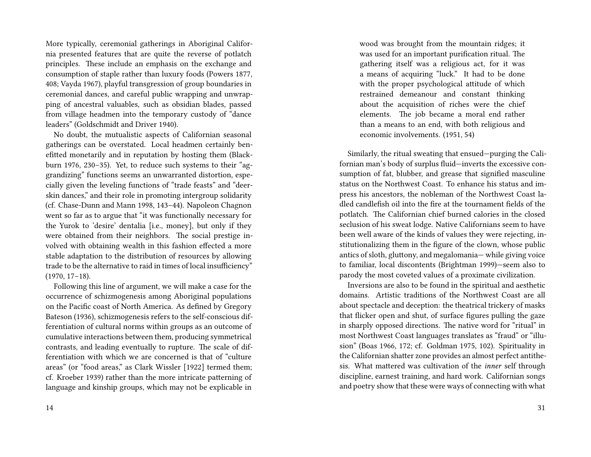More typically, ceremonial gatherings in Aboriginal California presented features that are quite the reverse of potlatch principles. These include an emphasis on the exchange and consumption of staple rather than luxury foods (Powers 1877, 408; Vayda 1967), playful transgression of group boundaries in ceremonial dances, and careful public wrapping and unwrapping of ancestral valuables, such as obsidian blades, passed from village headmen into the temporary custody of "dance leaders" (Goldschmidt and Driver 1940).

No doubt, the mutualistic aspects of Californian seasonal gatherings can be overstated. Local headmen certainly benefitted monetarily and in reputation by hosting them (Blackburn 1976, 230–35). Yet, to reduce such systems to their "aggrandizing" functions seems an unwarranted distortion, especially given the leveling functions of "trade feasts" and "deerskin dances," and their role in promoting intergroup solidarity (cf. Chase-Dunn and Mann 1998, 143–44). Napoleon Chagnon went so far as to argue that "it was functionally necessary for the Yurok to 'desire' dentalia [i.e., money], but only if they were obtained from their neighbors. The social prestige involved with obtaining wealth in this fashion effected a more stable adaptation to the distribution of resources by allowing trade to be the alternative to raid in times of local insufficiency" (1970, 17–18).

Following this line of argument, we will make a case for the occurrence of schizmogenesis among Aboriginal populations on the Pacific coast of North America. As defined by Gregory Bateson (1936), schizmogenesis refers to the self-conscious differentiation of cultural norms within groups as an outcome of cumulative interactions between them, producing symmetrical contrasts, and leading eventually to rupture. The scale of differentiation with which we are concerned is that of "culture areas" (or "food areas," as Clark Wissler [1922] termed them; cf. Kroeber 1939) rather than the more intricate patterning of language and kinship groups, which may not be explicable in

wood was brought from the mountain ridges; it was used for an important purification ritual. The gathering itself was a religious act, for it was a means of acquiring "luck." It had to be done with the proper psychological attitude of which restrained demeanour and constant thinking about the acquisition of riches were the chief elements. The job became a moral end rather than a means to an end, with both religious and economic involvements. (1951, 54)

Similarly, the ritual sweating that ensued—purging the Californian man's body of surplus fluid—inverts the excessive consumption of fat, blubber, and grease that signified masculine status on the Northwest Coast. To enhance his status and impress his ancestors, the nobleman of the Northwest Coast ladled candlefish oil into the fire at the tournament fields of the potlatch. The Californian chief burned calories in the closed seclusion of his sweat lodge. Native Californians seem to have been well aware of the kinds of values they were rejecting, institutionalizing them in the figure of the clown, whose public antics of sloth, gluttony, and megalomania— while giving voice to familiar, local discontents (Brightman 1999)—seem also to parody the most coveted values of a proximate civilization.

Inversions are also to be found in the spiritual and aesthetic domains. Artistic traditions of the Northwest Coast are all about spectacle and deception: the theatrical trickery of masks that flicker open and shut, of surface figures pulling the gaze in sharply opposed directions. The native word for "ritual" in most Northwest Coast languages translates as "fraud" or "illusion" (Boas 1966, 172; cf. Goldman 1975, 102). Spirituality in the Californian shatter zone provides an almost perfect antithesis. What mattered was cultivation of the *inner* self through discipline, earnest training, and hard work. Californian songs and poetry show that these were ways of connecting with what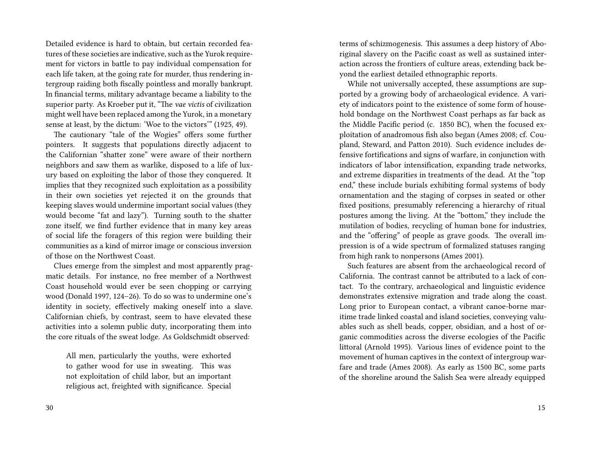Detailed evidence is hard to obtain, but certain recorded features of these societies are indicative, such as the Yurok requirement for victors in battle to pay individual compensation for each life taken, at the going rate for murder, thus rendering intergroup raiding both fiscally pointless and morally bankrupt. In financial terms, military advantage became a liability to the superior party. As Kroeber put it, "The *vae victis* of civilization might well have been replaced among the Yurok, in a monetary sense at least, by the dictum: 'Woe to the victors'" (1925, 49).

The cautionary "tale of the Wogies" offers some further pointers. It suggests that populations directly adjacent to the Californian "shatter zone" were aware of their northern neighbors and saw them as warlike, disposed to a life of luxury based on exploiting the labor of those they conquered. It implies that they recognized such exploitation as a possibility in their own societies yet rejected it on the grounds that keeping slaves would undermine important social values (they would become "fat and lazy"). Turning south to the shatter zone itself, we find further evidence that in many key areas of social life the foragers of this region were building their communities as a kind of mirror image or conscious inversion of those on the Northwest Coast.

Clues emerge from the simplest and most apparently pragmatic details. For instance, no free member of a Northwest Coast household would ever be seen chopping or carrying wood (Donald 1997, 124–26). To do so was to undermine one's identity in society, effectively making oneself into a slave. Californian chiefs, by contrast, seem to have elevated these activities into a solemn public duty, incorporating them into the core rituals of the sweat lodge. As Goldschmidt observed:

All men, particularly the youths, were exhorted to gather wood for use in sweating. This was not exploitation of child labor, but an important religious act, freighted with significance. Special terms of schizmogenesis. This assumes a deep history of Aboriginal slavery on the Pacific coast as well as sustained interaction across the frontiers of culture areas, extending back beyond the earliest detailed ethnographic reports.

While not universally accepted, these assumptions are supported by a growing body of archaeological evidence. A variety of indicators point to the existence of some form of household bondage on the Northwest Coast perhaps as far back as the Middle Pacific period (c. 1850 BC), when the focused exploitation of anadromous fish also began (Ames 2008; cf. Coupland, Steward, and Patton 2010). Such evidence includes defensive fortifications and signs of warfare, in conjunction with indicators of labor intensification, expanding trade networks, and extreme disparities in treatments of the dead. At the "top end," these include burials exhibiting formal systems of body ornamentation and the staging of corpses in seated or other fixed positions, presumably referencing a hierarchy of ritual postures among the living. At the "bottom," they include the mutilation of bodies, recycling of human bone for industries, and the "offering" of people as grave goods. The overall impression is of a wide spectrum of formalized statuses ranging from high rank to nonpersons (Ames 2001).

Such features are absent from the archaeological record of California. The contrast cannot be attributed to a lack of contact. To the contrary, archaeological and linguistic evidence demonstrates extensive migration and trade along the coast. Long prior to European contact, a vibrant canoe-borne maritime trade linked coastal and island societies, conveying valuables such as shell beads, copper, obsidian, and a host of organic commodities across the diverse ecologies of the Pacific littoral (Arnold 1995). Various lines of evidence point to the movement of human captives in the context of intergroup warfare and trade (Ames 2008). As early as 1500 BC, some parts of the shoreline around the Salish Sea were already equipped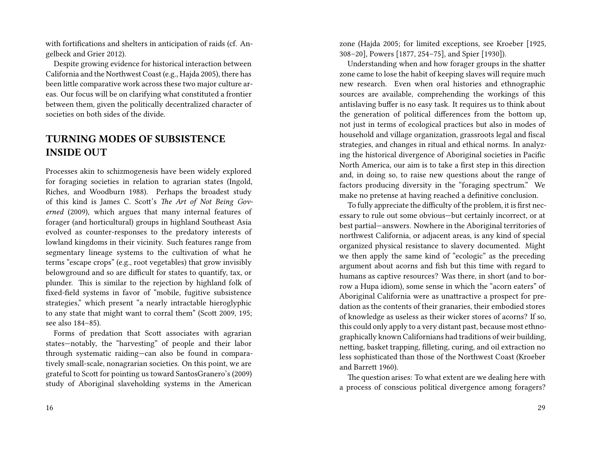with fortifications and shelters in anticipation of raids (cf. Angelbeck and Grier 2012).

Despite growing evidence for historical interaction between California and the Northwest Coast (e.g., Hajda 2005), there has been little comparative work across these two major culture areas. Our focus will be on clarifying what constituted a frontier between them, given the politically decentralized character of societies on both sides of the divide.

### **TURNING MODES OF SUBSISTENCE INSIDE OUT**

Processes akin to schizmogenesis have been widely explored for foraging societies in relation to agrarian states (Ingold, Riches, and Woodburn 1988). Perhaps the broadest study of this kind is James C. Scott's *The Art of Not Being Governed* (2009), which argues that many internal features of forager (and horticultural) groups in highland Southeast Asia evolved as counter-responses to the predatory interests of lowland kingdoms in their vicinity. Such features range from segmentary lineage systems to the cultivation of what he terms "escape crops" (e.g., root vegetables) that grow invisibly belowground and so are difficult for states to quantify, tax, or plunder. This is similar to the rejection by highland folk of fixed-field systems in favor of "mobile, fugitive subsistence strategies," which present "a nearly intractable hieroglyphic to any state that might want to corral them" (Scott 2009, 195; see also 184–85).

Forms of predation that Scott associates with agrarian states—notably, the "harvesting" of people and their labor through systematic raiding—can also be found in comparatively small-scale, nonagrarian societies. On this point, we are grateful to Scott for pointing us toward SantosGranero's (2009) study of Aboriginal slaveholding systems in the American

16

zone (Hajda 2005; for limited exceptions, see Kroeber [1925, 308–20], Powers [1877, 254–75], and Spier [1930]).

Understanding when and how forager groups in the shatter zone came to lose the habit of keeping slaves will require much new research. Even when oral histories and ethnographic sources are available, comprehending the workings of this antislaving buffer is no easy task. It requires us to think about the generation of political differences from the bottom up, not just in terms of ecological practices but also in modes of household and village organization, grassroots legal and fiscal strategies, and changes in ritual and ethical norms. In analyzing the historical divergence of Aboriginal societies in Pacific North America, our aim is to take a first step in this direction and, in doing so, to raise new questions about the range of factors producing diversity in the "foraging spectrum." We make no pretense at having reached a definitive conclusion.

To fully appreciate the difficulty of the problem, it is first necessary to rule out some obvious—but certainly incorrect, or at best partial—answers. Nowhere in the Aboriginal territories of northwest California, or adjacent areas, is any kind of special organized physical resistance to slavery documented. Might we then apply the same kind of "ecologic" as the preceding argument about acorns and fish but this time with regard to humans as captive resources? Was there, in short (and to borrow a Hupa idiom), some sense in which the "acorn eaters" of Aboriginal California were as unattractive a prospect for predation as the contents of their granaries, their embodied stores of knowledge as useless as their wicker stores of acorns? If so, this could only apply to a very distant past, because most ethnographically known Californians had traditions of weir building, netting, basket trapping, filleting, curing, and oil extraction no less sophisticated than those of the Northwest Coast (Kroeber and Barrett 1960).

The question arises: To what extent are we dealing here with a process of conscious political divergence among foragers?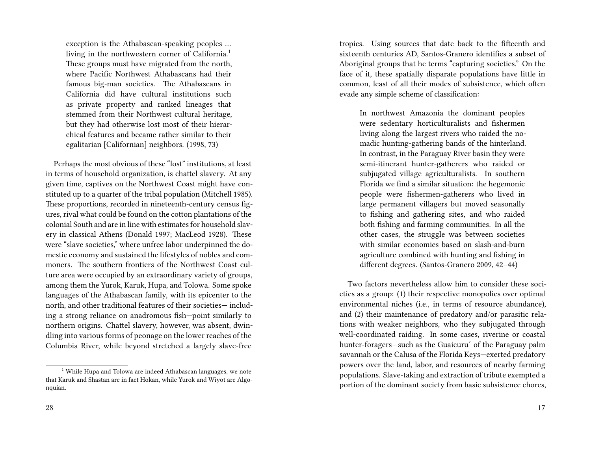exception is the Athabascan-speaking peoples … living in the northwestern corner of California.<sup>1</sup> These groups must have migrated from the north, where Pacific Northwest Athabascans had their famous big-man societies. The Athabascans in California did have cultural institutions such as private property and ranked lineages that stemmed from their Northwest cultural heritage, but they had otherwise lost most of their hierarchical features and became rather similar to their egalitarian [Californian] neighbors. (1998, 73)

Perhaps the most obvious of these "lost" institutions, at least in terms of household organization, is chattel slavery. At any given time, captives on the Northwest Coast might have constituted up to a quarter of the tribal population (Mitchell 1985). These proportions, recorded in nineteenth-century census figures, rival what could be found on the cotton plantations of the colonial South and are in line with estimates for household slavery in classical Athens (Donald 1997; MacLeod 1928). These were "slave societies," where unfree labor underpinned the domestic economy and sustained the lifestyles of nobles and commoners. The southern frontiers of the Northwest Coast culture area were occupied by an extraordinary variety of groups, among them the Yurok, Karuk, Hupa, and Tolowa. Some spoke languages of the Athabascan family, with its epicenter to the north, and other traditional features of their societies— including a strong reliance on anadromous fish—point similarly to northern origins. Chattel slavery, however, was absent, dwindling into various forms of peonage on the lower reaches of the Columbia River, while beyond stretched a largely slave-free

tropics. Using sources that date back to the fifteenth and sixteenth centuries AD, Santos-Granero identifies a subset of Aboriginal groups that he terms "capturing societies." On the face of it, these spatially disparate populations have little in common, least of all their modes of subsistence, which often evade any simple scheme of classification:

In northwest Amazonia the dominant peoples were sedentary horticulturalists and fishermen living along the largest rivers who raided the nomadic hunting-gathering bands of the hinterland. In contrast, in the Paraguay River basin they were semi-itinerant hunter-gatherers who raided or subjugated village agriculturalists. In southern Florida we find a similar situation: the hegemonic people were fishermen-gatherers who lived in large permanent villagers but moved seasonally to fishing and gathering sites, and who raided both fishing and farming communities. In all the other cases, the struggle was between societies with similar economies based on slash-and-burn agriculture combined with hunting and fishing in different degrees. (Santos-Granero 2009, 42–44)

Two factors nevertheless allow him to consider these societies as a group: (1) their respective monopolies over optimal environmental niches (i.e., in terms of resource abundance), and (2) their maintenance of predatory and/or parasitic relations with weaker neighbors, who they subjugated through well-coordinated raiding. In some cases, riverine or coastal hunter-foragers—such as the Guaicuru´ of the Paraguay palm savannah or the Calusa of the Florida Keys—exerted predatory powers over the land, labor, and resources of nearby farming populations. Slave-taking and extraction of tribute exempted a portion of the dominant society from basic subsistence chores,

 $1$  While Hupa and Tolowa are indeed Athabascan languages, we note that Karuk and Shastan are in fact Hokan, while Yurok and Wiyot are Algonquian.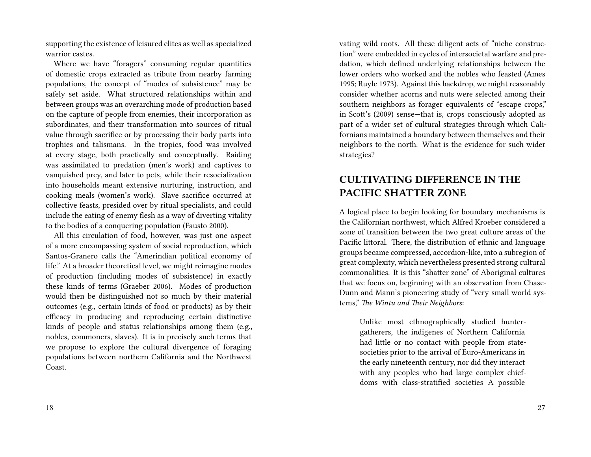supporting the existence of leisured elites as well as specialized warrior castes.

Where we have "foragers" consuming regular quantities of domestic crops extracted as tribute from nearby farming populations, the concept of "modes of subsistence" may be safely set aside. What structured relationships within and between groups was an overarching mode of production based on the capture of people from enemies, their incorporation as subordinates, and their transformation into sources of ritual value through sacrifice or by processing their body parts into trophies and talismans. In the tropics, food was involved at every stage, both practically and conceptually. Raiding was assimilated to predation (men's work) and captives to vanquished prey, and later to pets, while their resocialization into households meant extensive nurturing, instruction, and cooking meals (women's work). Slave sacrifice occurred at collective feasts, presided over by ritual specialists, and could include the eating of enemy flesh as a way of diverting vitality to the bodies of a conquering population (Fausto 2000).

All this circulation of food, however, was just one aspect of a more encompassing system of social reproduction, which Santos-Granero calls the "Amerindian political economy of life." At a broader theoretical level, we might reimagine modes of production (including modes of subsistence) in exactly these kinds of terms (Graeber 2006). Modes of production would then be distinguished not so much by their material outcomes (e.g., certain kinds of food or products) as by their efficacy in producing and reproducing certain distinctive kinds of people and status relationships among them (e.g., nobles, commoners, slaves). It is in precisely such terms that we propose to explore the cultural divergence of foraging populations between northern California and the Northwest Coast.

vating wild roots. All these diligent acts of "niche construction" were embedded in cycles of intersocietal warfare and predation, which defined underlying relationships between the lower orders who worked and the nobles who feasted (Ames 1995; Ruyle 1973). Against this backdrop, we might reasonably consider whether acorns and nuts were selected among their southern neighbors as forager equivalents of "escape crops," in Scott's (2009) sense—that is, crops consciously adopted as part of a wider set of cultural strategies through which Californians maintained a boundary between themselves and their neighbors to the north. What is the evidence for such wider strategies?

### **CULTIVATING DIFFERENCE IN THE PACIFIC SHATTER ZONE**

A logical place to begin looking for boundary mechanisms is the Californian northwest, which Alfred Kroeber considered a zone of transition between the two great culture areas of the Pacific littoral. There, the distribution of ethnic and language groups became compressed, accordion-like, into a subregion of great complexity, which nevertheless presented strong cultural commonalities. It is this "shatter zone" of Aboriginal cultures that we focus on, beginning with an observation from Chase-Dunn and Mann's pioneering study of "very small world systems," *The Wintu and Their Neighbors*:

Unlike most ethnographically studied huntergatherers, the indigenes of Northern California had little or no contact with people from statesocieties prior to the arrival of Euro-Americans in the early nineteenth century, nor did they interact with any peoples who had large complex chiefdoms with class-stratified societies A possible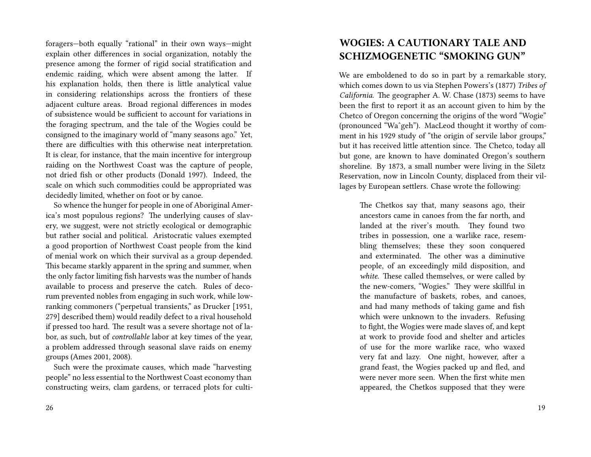foragers—both equally "rational" in their own ways—might explain other differences in social organization, notably the presence among the former of rigid social stratification and endemic raiding, which were absent among the latter. If his explanation holds, then there is little analytical value in considering relationships across the frontiers of these adjacent culture areas. Broad regional differences in modes of subsistence would be sufficient to account for variations in the foraging spectrum, and the tale of the Wogies could be consigned to the imaginary world of "many seasons ago." Yet, there are difficulties with this otherwise neat interpretation. It is clear, for instance, that the main incentive for intergroup raiding on the Northwest Coast was the capture of people, not dried fish or other products (Donald 1997). Indeed, the scale on which such commodities could be appropriated was decidedly limited, whether on foot or by canoe.

So whence the hunger for people in one of Aboriginal America's most populous regions? The underlying causes of slavery, we suggest, were not strictly ecological or demographic but rather social and political. Aristocratic values exempted a good proportion of Northwest Coast people from the kind of menial work on which their survival as a group depended. This became starkly apparent in the spring and summer, when the only factor limiting fish harvests was the number of hands available to process and preserve the catch. Rules of decorum prevented nobles from engaging in such work, while lowranking commoners ("perpetual transients," as Drucker [1951, 279] described them) would readily defect to a rival household if pressed too hard. The result was a severe shortage not of labor, as such, but of *controllable* labor at key times of the year, a problem addressed through seasonal slave raids on enemy groups (Ames 2001, 2008).

Such were the proximate causes, which made "harvesting people" no less essential to the Northwest Coast economy than constructing weirs, clam gardens, or terraced plots for culti-

#### **WOGIES: A CAUTIONARY TALE AND SCHIZMOGENETIC "SMOKING GUN"**

We are emboldened to do so in part by a remarkable story, which comes down to us via Stephen Powers's (1877) *Tribes of California*. The geographer A. W. Chase (1873) seems to have been the first to report it as an account given to him by the Chetco of Oregon concerning the origins of the word "Wogie" (pronounced "Waˆgeh"). MacLeod thought it worthy of comment in his 1929 study of "the origin of servile labor groups," but it has received little attention since. The Chetco, today all but gone, are known to have dominated Oregon's southern shoreline. By 1873, a small number were living in the Siletz Reservation, now in Lincoln County, displaced from their villages by European settlers. Chase wrote the following:

The Chetkos say that, many seasons ago, their ancestors came in canoes from the far north, and landed at the river's mouth. They found two tribes in possession, one a warlike race, resembling themselves; these they soon conquered and exterminated. The other was a diminutive people, of an exceedingly mild disposition, and *white*. These called themselves, or were called by the new-comers, "Wogies." They were skillful in the manufacture of baskets, robes, and canoes, and had many methods of taking game and fish which were unknown to the invaders. Refusing to fight, the Wogies were made slaves of, and kept at work to provide food and shelter and articles of use for the more warlike race, who waxed very fat and lazy. One night, however, after a grand feast, the Wogies packed up and fled, and were never more seen. When the first white men appeared, the Chetkos supposed that they were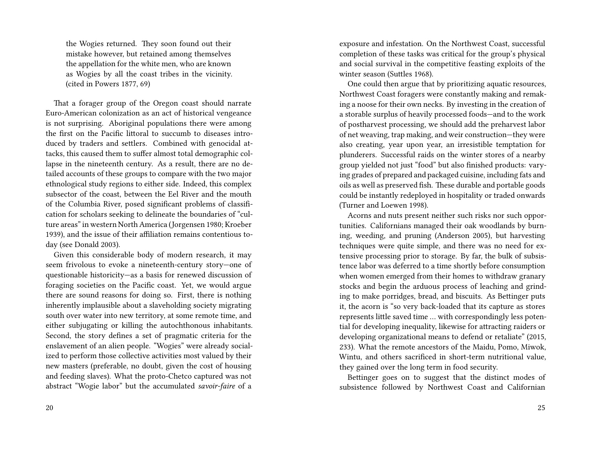the Wogies returned. They soon found out their mistake however, but retained among themselves the appellation for the white men, who are known as Wogies by all the coast tribes in the vicinity. (cited in Powers 1877, 69)

That a forager group of the Oregon coast should narrate Euro-American colonization as an act of historical vengeance is not surprising. Aboriginal populations there were among the first on the Pacific littoral to succumb to diseases introduced by traders and settlers. Combined with genocidal attacks, this caused them to suffer almost total demographic collapse in the nineteenth century. As a result, there are no detailed accounts of these groups to compare with the two major ethnological study regions to either side. Indeed, this complex subsector of the coast, between the Eel River and the mouth of the Columbia River, posed significant problems of classification for scholars seeking to delineate the boundaries of "culture areas" in western North America (Jorgensen 1980; Kroeber 1939), and the issue of their affiliation remains contentious today (see Donald 2003).

Given this considerable body of modern research, it may seem frivolous to evoke a nineteenth-century story—one of questionable historicity—as a basis for renewed discussion of foraging societies on the Pacific coast. Yet, we would argue there are sound reasons for doing so. First, there is nothing inherently implausible about a slaveholding society migrating south over water into new territory, at some remote time, and either subjugating or killing the autochthonous inhabitants. Second, the story defines a set of pragmatic criteria for the enslavement of an alien people. "Wogies" were already socialized to perform those collective activities most valued by their new masters (preferable, no doubt, given the cost of housing and feeding slaves). What the proto-Chetco captured was not abstract "Wogie labor" but the accumulated *savoir-faire* of a

exposure and infestation. On the Northwest Coast, successful completion of these tasks was critical for the group's physical and social survival in the competitive feasting exploits of the winter season (Suttles 1968).

One could then argue that by prioritizing aquatic resources, Northwest Coast foragers were constantly making and remaking a noose for their own necks. By investing in the creation of a storable surplus of heavily processed foods—and to the work of postharvest processing, we should add the preharvest labor of net weaving, trap making, and weir construction—they were also creating, year upon year, an irresistible temptation for plunderers. Successful raids on the winter stores of a nearby group yielded not just "food" but also finished products: varying grades of prepared and packaged cuisine, including fats and oils as well as preserved fish. These durable and portable goods could be instantly redeployed in hospitality or traded onwards (Turner and Loewen 1998).

Acorns and nuts present neither such risks nor such opportunities. Californians managed their oak woodlands by burning, weeding, and pruning (Anderson 2005), but harvesting techniques were quite simple, and there was no need for extensive processing prior to storage. By far, the bulk of subsistence labor was deferred to a time shortly before consumption when women emerged from their homes to withdraw granary stocks and begin the arduous process of leaching and grinding to make porridges, bread, and biscuits. As Bettinger puts it, the acorn is "so very back-loaded that its capture as stores represents little saved time … with correspondingly less potential for developing inequality, likewise for attracting raiders or developing organizational means to defend or retaliate" (2015, 233). What the remote ancestors of the Maidu, Pomo, Miwok, Wintu, and others sacrificed in short-term nutritional value, they gained over the long term in food security.

Bettinger goes on to suggest that the distinct modes of subsistence followed by Northwest Coast and Californian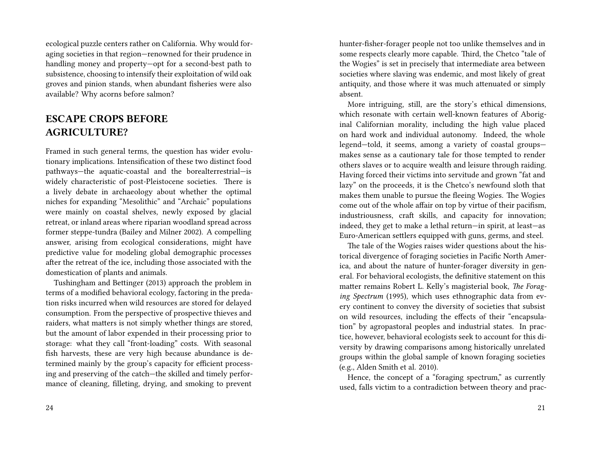ecological puzzle centers rather on California. Why would foraging societies in that region—renowned for their prudence in handling money and property—opt for a second-best path to subsistence, choosing to intensify their exploitation of wild oak groves and pinion stands, when abundant fisheries were also available? Why acorns before salmon?

### **ESCAPE CROPS BEFORE AGRICULTURE?**

Framed in such general terms, the question has wider evolutionary implications. Intensification of these two distinct food pathways—the aquatic-coastal and the borealterrestrial—is widely characteristic of post-Pleistocene societies. There is a lively debate in archaeology about whether the optimal niches for expanding "Mesolithic" and "Archaic" populations were mainly on coastal shelves, newly exposed by glacial retreat, or inland areas where riparian woodland spread across former steppe-tundra (Bailey and Milner 2002). A compelling answer, arising from ecological considerations, might have predictive value for modeling global demographic processes after the retreat of the ice, including those associated with the domestication of plants and animals.

Tushingham and Bettinger (2013) approach the problem in terms of a modified behavioral ecology, factoring in the predation risks incurred when wild resources are stored for delayed consumption. From the perspective of prospective thieves and raiders, what matters is not simply whether things are stored, but the amount of labor expended in their processing prior to storage: what they call "front-loading" costs. With seasonal fish harvests, these are very high because abundance is determined mainly by the group's capacity for efficient processing and preserving of the catch—the skilled and timely performance of cleaning, filleting, drying, and smoking to prevent

hunter-fisher-forager people not too unlike themselves and in some respects clearly more capable. Third, the Chetco "tale of the Wogies" is set in precisely that intermediate area between societies where slaving was endemic, and most likely of great antiquity, and those where it was much attenuated or simply absent.

More intriguing, still, are the story's ethical dimensions, which resonate with certain well-known features of Aboriginal Californian morality, including the high value placed on hard work and individual autonomy. Indeed, the whole legend—told, it seems, among a variety of coastal groups makes sense as a cautionary tale for those tempted to render others slaves or to acquire wealth and leisure through raiding. Having forced their victims into servitude and grown "fat and lazy" on the proceeds, it is the Chetco's newfound sloth that makes them unable to pursue the fleeing Wogies. The Wogies come out of the whole affair on top by virtue of their pacifism, industriousness, craft skills, and capacity for innovation; indeed, they get to make a lethal return—in spirit, at least—as Euro-American settlers equipped with guns, germs, and steel.

The tale of the Wogies raises wider questions about the historical divergence of foraging societies in Pacific North America, and about the nature of hunter-forager diversity in general. For behavioral ecologists, the definitive statement on this matter remains Robert L. Kelly's magisterial book, *The Foraging Spectrum* (1995), which uses ethnographic data from every continent to convey the diversity of societies that subsist on wild resources, including the effects of their "encapsulation" by agropastoral peoples and industrial states. In practice, however, behavioral ecologists seek to account for this diversity by drawing comparisons among historically unrelated groups within the global sample of known foraging societies (e.g., Alden Smith et al. 2010).

Hence, the concept of a "foraging spectrum," as currently used, falls victim to a contradiction between theory and prac